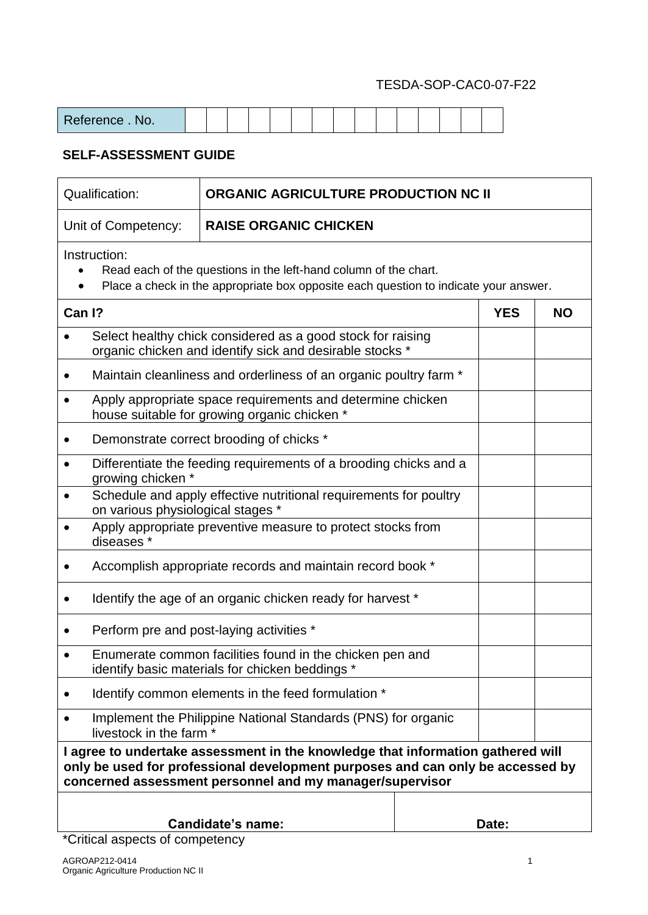| Reference.<br>NO. |  |  |  |  |  |  |  |  |
|-------------------|--|--|--|--|--|--|--|--|
|                   |  |  |  |  |  |  |  |  |

### **SELF-ASSESSMENT GUIDE**

| Qualification:<br><b>ORGANIC AGRICULTURE PRODUCTION NC II</b>                                                           |                                                                                                                                                                                                                               |  |            |           |  |  |  |  |
|-------------------------------------------------------------------------------------------------------------------------|-------------------------------------------------------------------------------------------------------------------------------------------------------------------------------------------------------------------------------|--|------------|-----------|--|--|--|--|
| Unit of Competency:                                                                                                     | <b>RAISE ORGANIC CHICKEN</b>                                                                                                                                                                                                  |  |            |           |  |  |  |  |
| Instruction:                                                                                                            | Read each of the questions in the left-hand column of the chart.<br>Place a check in the appropriate box opposite each question to indicate your answer.                                                                      |  |            |           |  |  |  |  |
| Can I?                                                                                                                  |                                                                                                                                                                                                                               |  | <b>YES</b> | <b>NO</b> |  |  |  |  |
| Select healthy chick considered as a good stock for raising<br>organic chicken and identify sick and desirable stocks * |                                                                                                                                                                                                                               |  |            |           |  |  |  |  |
|                                                                                                                         | Maintain cleanliness and orderliness of an organic poultry farm *                                                                                                                                                             |  |            |           |  |  |  |  |
|                                                                                                                         | Apply appropriate space requirements and determine chicken<br>house suitable for growing organic chicken *                                                                                                                    |  |            |           |  |  |  |  |
|                                                                                                                         | Demonstrate correct brooding of chicks *                                                                                                                                                                                      |  |            |           |  |  |  |  |
| growing chicken *                                                                                                       | Differentiate the feeding requirements of a brooding chicks and a                                                                                                                                                             |  |            |           |  |  |  |  |
| on various physiological stages *                                                                                       | Schedule and apply effective nutritional requirements for poultry                                                                                                                                                             |  |            |           |  |  |  |  |
| diseases *                                                                                                              | Apply appropriate preventive measure to protect stocks from                                                                                                                                                                   |  |            |           |  |  |  |  |
|                                                                                                                         | Accomplish appropriate records and maintain record book *                                                                                                                                                                     |  |            |           |  |  |  |  |
|                                                                                                                         | Identify the age of an organic chicken ready for harvest *                                                                                                                                                                    |  |            |           |  |  |  |  |
|                                                                                                                         | Perform pre and post-laying activities *                                                                                                                                                                                      |  |            |           |  |  |  |  |
|                                                                                                                         | Enumerate common facilities found in the chicken pen and<br>identify basic materials for chicken beddings *                                                                                                                   |  |            |           |  |  |  |  |
|                                                                                                                         | Identify common elements in the feed formulation *                                                                                                                                                                            |  |            |           |  |  |  |  |
|                                                                                                                         | Implement the Philippine National Standards (PNS) for organic<br>livestock in the farm *                                                                                                                                      |  |            |           |  |  |  |  |
|                                                                                                                         | I agree to undertake assessment in the knowledge that information gathered will<br>only be used for professional development purposes and can only be accessed by<br>concerned assessment personnel and my manager/supervisor |  |            |           |  |  |  |  |
| <b>Candidate's name:</b><br>Date:                                                                                       |                                                                                                                                                                                                                               |  |            |           |  |  |  |  |

\*Critical aspects of competency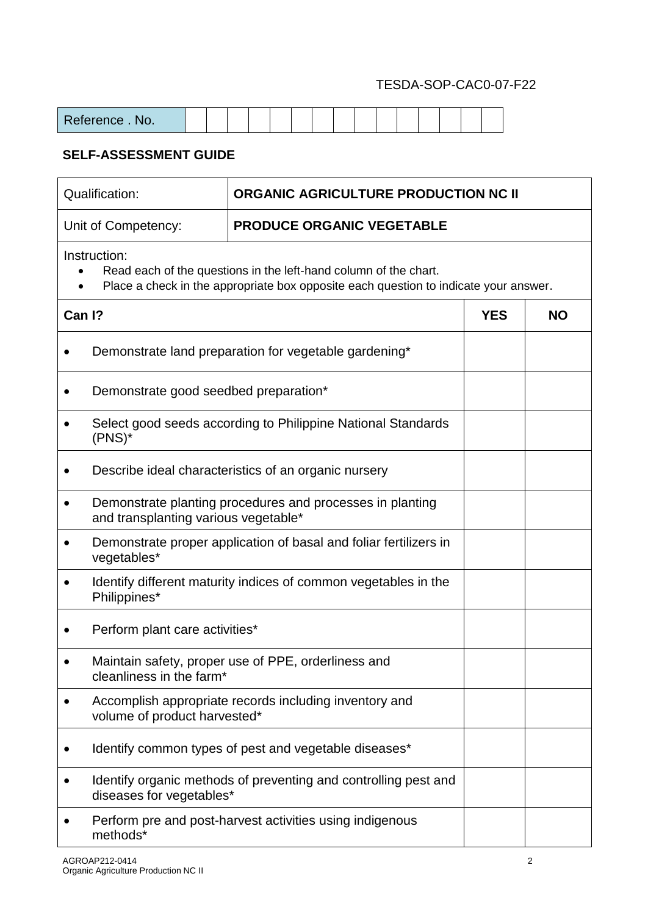| Reference.<br>NO. |  |  |  |  |  |  |  |  |
|-------------------|--|--|--|--|--|--|--|--|

|        | Qualification:                                                       | <b>ORGANIC AGRICULTURE PRODUCTION NC II</b>                                                                                                              |            |           |  |  |  |  |  |  |  |  |
|--------|----------------------------------------------------------------------|----------------------------------------------------------------------------------------------------------------------------------------------------------|------------|-----------|--|--|--|--|--|--|--|--|
|        | Unit of Competency:                                                  | PRODUCE ORGANIC VEGETABLE                                                                                                                                |            |           |  |  |  |  |  |  |  |  |
|        | Instruction:                                                         | Read each of the questions in the left-hand column of the chart.<br>Place a check in the appropriate box opposite each question to indicate your answer. |            |           |  |  |  |  |  |  |  |  |
| Can I? |                                                                      |                                                                                                                                                          | <b>YES</b> | <b>NO</b> |  |  |  |  |  |  |  |  |
|        | Demonstrate land preparation for vegetable gardening*                |                                                                                                                                                          |            |           |  |  |  |  |  |  |  |  |
|        | Demonstrate good seedbed preparation*                                |                                                                                                                                                          |            |           |  |  |  |  |  |  |  |  |
|        | $(PNS)^*$                                                            | Select good seeds according to Philippine National Standards                                                                                             |            |           |  |  |  |  |  |  |  |  |
|        | Describe ideal characteristics of an organic nursery                 |                                                                                                                                                          |            |           |  |  |  |  |  |  |  |  |
|        | and transplanting various vegetable*                                 | Demonstrate planting procedures and processes in planting                                                                                                |            |           |  |  |  |  |  |  |  |  |
|        | vegetables*                                                          | Demonstrate proper application of basal and foliar fertilizers in                                                                                        |            |           |  |  |  |  |  |  |  |  |
|        | Philippines*                                                         | Identify different maturity indices of common vegetables in the                                                                                          |            |           |  |  |  |  |  |  |  |  |
|        | Perform plant care activities*                                       |                                                                                                                                                          |            |           |  |  |  |  |  |  |  |  |
|        | cleanliness in the farm*                                             | Maintain safety, proper use of PPE, orderliness and                                                                                                      |            |           |  |  |  |  |  |  |  |  |
|        | volume of product harvested*                                         | Accomplish appropriate records including inventory and                                                                                                   |            |           |  |  |  |  |  |  |  |  |
|        | Identify common types of pest and vegetable diseases*                |                                                                                                                                                          |            |           |  |  |  |  |  |  |  |  |
|        | diseases for vegetables*                                             | Identify organic methods of preventing and controlling pest and                                                                                          |            |           |  |  |  |  |  |  |  |  |
|        | Perform pre and post-harvest activities using indigenous<br>methods* |                                                                                                                                                          |            |           |  |  |  |  |  |  |  |  |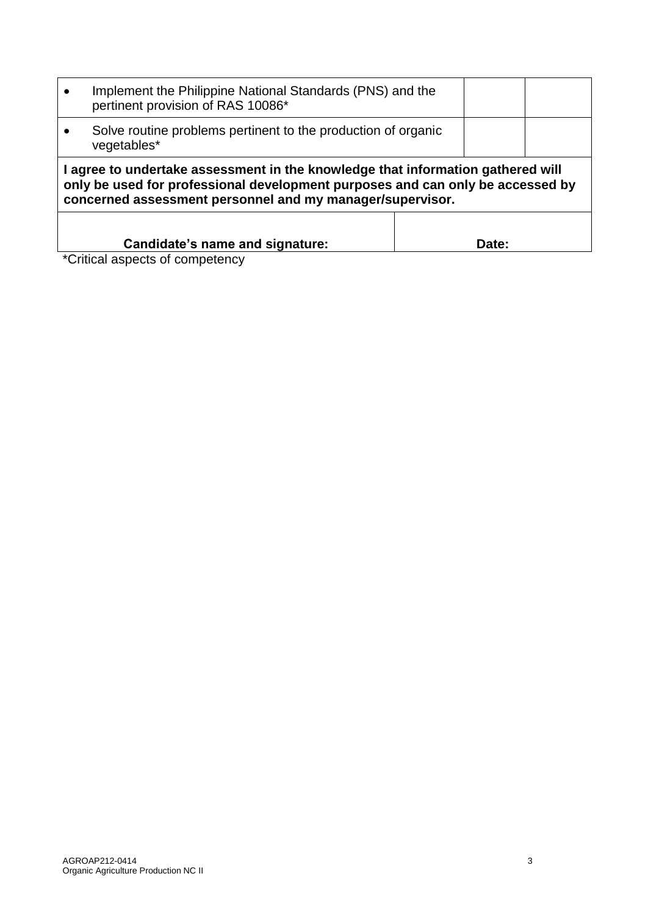| $\bullet$                                                                    | Implement the Philippine National Standards (PNS) and the<br>pertinent provision of RAS 10086*                                                                                                                                 |  |  |  |  |  |  |  |  |
|------------------------------------------------------------------------------|--------------------------------------------------------------------------------------------------------------------------------------------------------------------------------------------------------------------------------|--|--|--|--|--|--|--|--|
| Solve routine problems pertinent to the production of organic<br>vegetables* |                                                                                                                                                                                                                                |  |  |  |  |  |  |  |  |
|                                                                              | I agree to undertake assessment in the knowledge that information gathered will<br>only be used for professional development purposes and can only be accessed by<br>concerned assessment personnel and my manager/supervisor. |  |  |  |  |  |  |  |  |
| Candidate's name and signature:<br>Date:                                     |                                                                                                                                                                                                                                |  |  |  |  |  |  |  |  |

\*Critical aspects of competency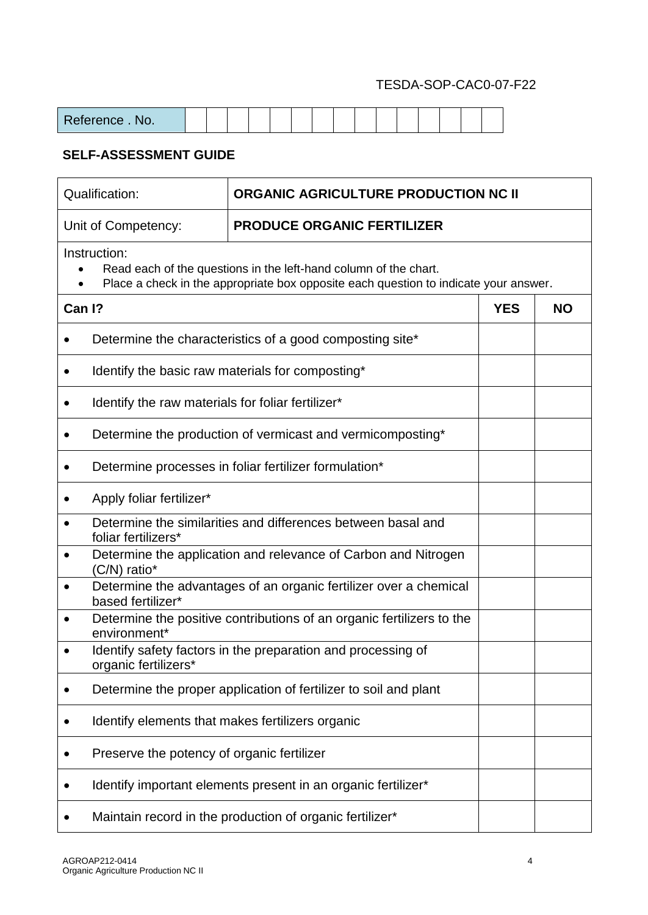| Reference.<br>No. |  |  |  |  |  |  |  |  |
|-------------------|--|--|--|--|--|--|--|--|

|        | Qualification:                                           | ORGANIC AGRICULTURE PRODUCTION NC II                                                                                                                     |            |           |  |  |  |  |  |
|--------|----------------------------------------------------------|----------------------------------------------------------------------------------------------------------------------------------------------------------|------------|-----------|--|--|--|--|--|
|        | Unit of Competency:                                      | <b>PRODUCE ORGANIC FERTILIZER</b>                                                                                                                        |            |           |  |  |  |  |  |
|        | Instruction:                                             | Read each of the questions in the left-hand column of the chart.<br>Place a check in the appropriate box opposite each question to indicate your answer. |            |           |  |  |  |  |  |
| Can I? |                                                          |                                                                                                                                                          | <b>YES</b> | <b>NO</b> |  |  |  |  |  |
|        |                                                          | Determine the characteristics of a good composting site*                                                                                                 |            |           |  |  |  |  |  |
|        |                                                          | Identify the basic raw materials for composting*                                                                                                         |            |           |  |  |  |  |  |
|        | Identify the raw materials for foliar fertilizer*        |                                                                                                                                                          |            |           |  |  |  |  |  |
|        |                                                          | Determine the production of vermicast and vermicomposting*                                                                                               |            |           |  |  |  |  |  |
|        | Determine processes in foliar fertilizer formulation*    |                                                                                                                                                          |            |           |  |  |  |  |  |
|        | Apply foliar fertilizer*                                 |                                                                                                                                                          |            |           |  |  |  |  |  |
|        | foliar fertilizers*                                      | Determine the similarities and differences between basal and                                                                                             |            |           |  |  |  |  |  |
|        | $(C/N)$ ratio*                                           | Determine the application and relevance of Carbon and Nitrogen                                                                                           |            |           |  |  |  |  |  |
|        | based fertilizer*                                        | Determine the advantages of an organic fertilizer over a chemical                                                                                        |            |           |  |  |  |  |  |
|        | environment*                                             | Determine the positive contributions of an organic fertilizers to the                                                                                    |            |           |  |  |  |  |  |
|        | organic fertilizers*                                     | Identify safety factors in the preparation and processing of                                                                                             |            |           |  |  |  |  |  |
|        |                                                          | Determine the proper application of fertilizer to soil and plant                                                                                         |            |           |  |  |  |  |  |
|        | Identify elements that makes fertilizers organic         |                                                                                                                                                          |            |           |  |  |  |  |  |
|        | Preserve the potency of organic fertilizer               |                                                                                                                                                          |            |           |  |  |  |  |  |
|        |                                                          | Identify important elements present in an organic fertilizer*                                                                                            |            |           |  |  |  |  |  |
|        | Maintain record in the production of organic fertilizer* |                                                                                                                                                          |            |           |  |  |  |  |  |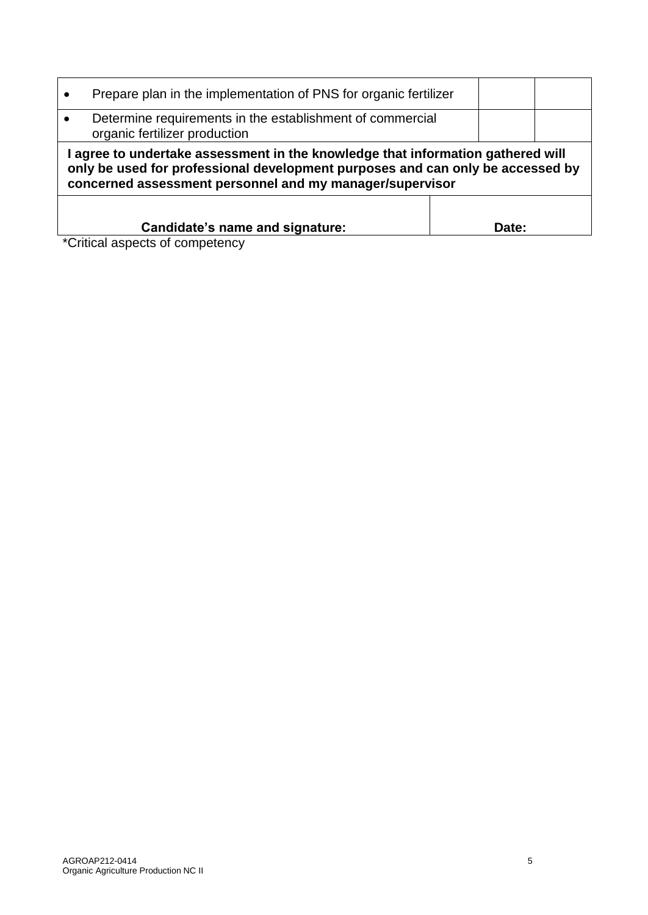| Prepare plan in the implementation of PNS for organic fertilizer                                                                                                                                                            |       |  |
|-----------------------------------------------------------------------------------------------------------------------------------------------------------------------------------------------------------------------------|-------|--|
| Determine requirements in the establishment of commercial<br>organic fertilizer production                                                                                                                                  |       |  |
| agree to undertake assessment in the knowledge that information gathered will<br>only be used for professional development purposes and can only be accessed by<br>concerned assessment personnel and my manager/supervisor |       |  |
| Candidate's name and signature:<br>*Critical aspects of competency                                                                                                                                                          | Date: |  |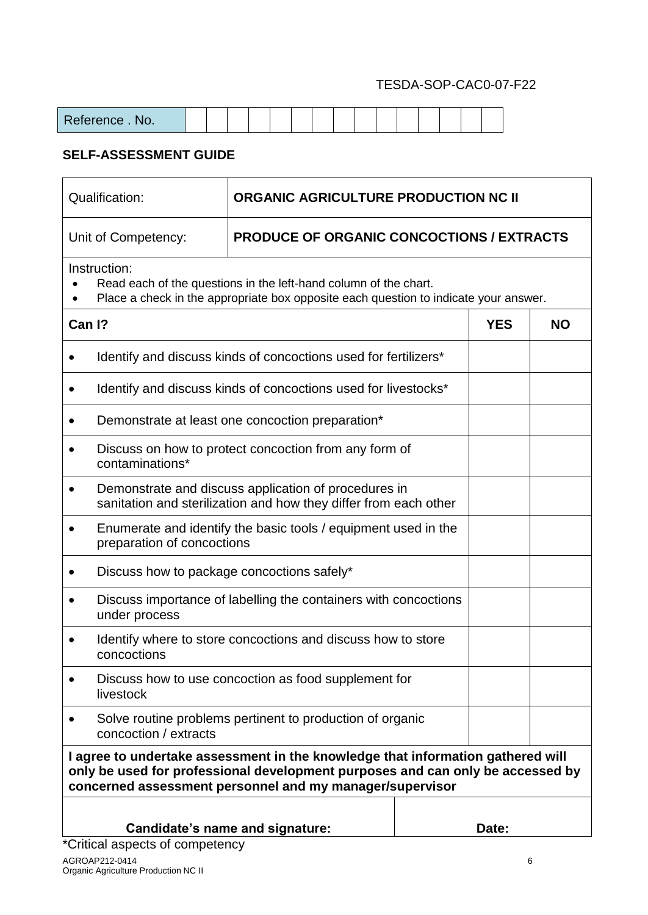| eference . No. |  |  |  |  |  |  |  |  |
|----------------|--|--|--|--|--|--|--|--|
|                |  |  |  |  |  |  |  |  |

| ORGANIC AGRICULTURE PRODUCTION NC II<br>Qualification:                      |                                                                                                                                                                                                                               |  |            |           |  |  |  |
|-----------------------------------------------------------------------------|-------------------------------------------------------------------------------------------------------------------------------------------------------------------------------------------------------------------------------|--|------------|-----------|--|--|--|
| Unit of Competency:                                                         | <b>PRODUCE OF ORGANIC CONCOCTIONS / EXTRACTS</b>                                                                                                                                                                              |  |            |           |  |  |  |
| Instruction:                                                                | Read each of the questions in the left-hand column of the chart.<br>Place a check in the appropriate box opposite each question to indicate your answer.                                                                      |  |            |           |  |  |  |
| Can I?                                                                      |                                                                                                                                                                                                                               |  | <b>YES</b> | <b>NO</b> |  |  |  |
|                                                                             | Identify and discuss kinds of concoctions used for fertilizers*                                                                                                                                                               |  |            |           |  |  |  |
|                                                                             | Identify and discuss kinds of concoctions used for livestocks*                                                                                                                                                                |  |            |           |  |  |  |
|                                                                             | Demonstrate at least one concoction preparation*                                                                                                                                                                              |  |            |           |  |  |  |
| $\bullet$<br>contaminations*                                                | Discuss on how to protect concoction from any form of                                                                                                                                                                         |  |            |           |  |  |  |
| $\bullet$                                                                   | Demonstrate and discuss application of procedures in<br>sanitation and sterilization and how they differ from each other                                                                                                      |  |            |           |  |  |  |
| preparation of concoctions                                                  | Enumerate and identify the basic tools / equipment used in the                                                                                                                                                                |  |            |           |  |  |  |
| Discuss how to package concoctions safely*                                  |                                                                                                                                                                                                                               |  |            |           |  |  |  |
| under process                                                               | Discuss importance of labelling the containers with concoctions                                                                                                                                                               |  |            |           |  |  |  |
| concoctions                                                                 | Identify where to store concoctions and discuss how to store                                                                                                                                                                  |  |            |           |  |  |  |
| livestock                                                                   | Discuss how to use concoction as food supplement for                                                                                                                                                                          |  |            |           |  |  |  |
| concoction / extracts                                                       | Solve routine problems pertinent to production of organic                                                                                                                                                                     |  |            |           |  |  |  |
|                                                                             | I agree to undertake assessment in the knowledge that information gathered will<br>only be used for professional development purposes and can only be accessed by<br>concerned assessment personnel and my manager/supervisor |  |            |           |  |  |  |
| Date:<br>Candidate's name and signature:<br>*Critical aspects of competency |                                                                                                                                                                                                                               |  |            |           |  |  |  |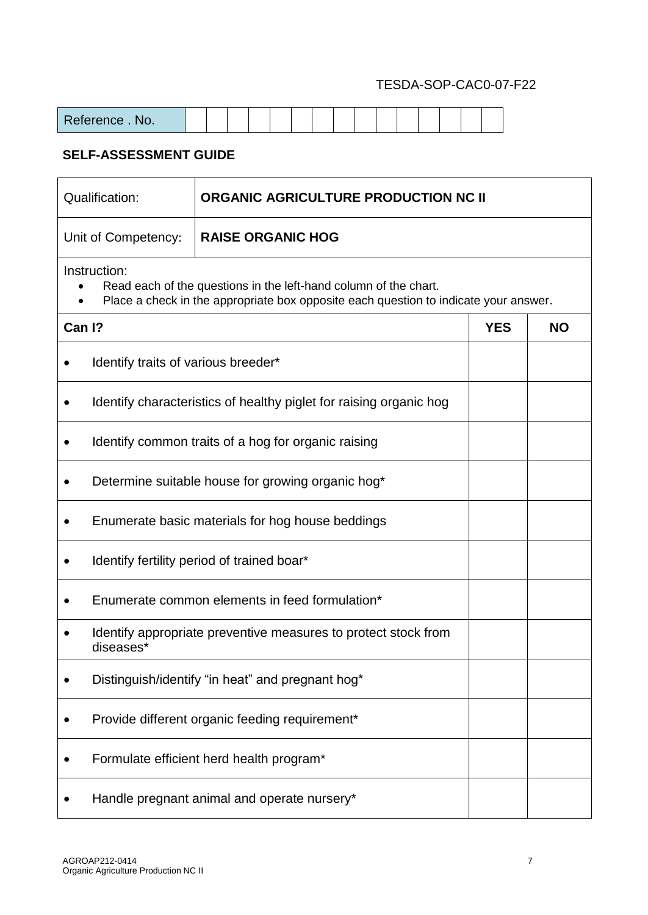| Qualification:                                 |                                                                                                                                                                          | ORGANIC AGRICULTURE PRODUCTION NC II                               |           |  |  |  |  |  |  |  |
|------------------------------------------------|--------------------------------------------------------------------------------------------------------------------------------------------------------------------------|--------------------------------------------------------------------|-----------|--|--|--|--|--|--|--|
|                                                | Unit of Competency:                                                                                                                                                      | <b>RAISE ORGANIC HOG</b>                                           |           |  |  |  |  |  |  |  |
|                                                | Instruction:<br>Read each of the questions in the left-hand column of the chart.<br>Place a check in the appropriate box opposite each question to indicate your answer. |                                                                    |           |  |  |  |  |  |  |  |
| Can I?                                         |                                                                                                                                                                          | <b>YES</b>                                                         | <b>NO</b> |  |  |  |  |  |  |  |
| Identify traits of various breeder*            |                                                                                                                                                                          |                                                                    |           |  |  |  |  |  |  |  |
|                                                |                                                                                                                                                                          | Identify characteristics of healthy piglet for raising organic hog |           |  |  |  |  |  |  |  |
|                                                |                                                                                                                                                                          | Identify common traits of a hog for organic raising                |           |  |  |  |  |  |  |  |
|                                                |                                                                                                                                                                          | Determine suitable house for growing organic hog*                  |           |  |  |  |  |  |  |  |
|                                                |                                                                                                                                                                          | Enumerate basic materials for hog house beddings                   |           |  |  |  |  |  |  |  |
|                                                |                                                                                                                                                                          | Identify fertility period of trained boar*                         |           |  |  |  |  |  |  |  |
|                                                |                                                                                                                                                                          | Enumerate common elements in feed formulation*                     |           |  |  |  |  |  |  |  |
|                                                | diseases*                                                                                                                                                                | Identify appropriate preventive measures to protect stock from     |           |  |  |  |  |  |  |  |
|                                                |                                                                                                                                                                          | Distinguish/identify "in heat" and pregnant hog*                   |           |  |  |  |  |  |  |  |
| Provide different organic feeding requirement* |                                                                                                                                                                          |                                                                    |           |  |  |  |  |  |  |  |
|                                                | Formulate efficient herd health program*                                                                                                                                 |                                                                    |           |  |  |  |  |  |  |  |
|                                                | Handle pregnant animal and operate nursery*                                                                                                                              |                                                                    |           |  |  |  |  |  |  |  |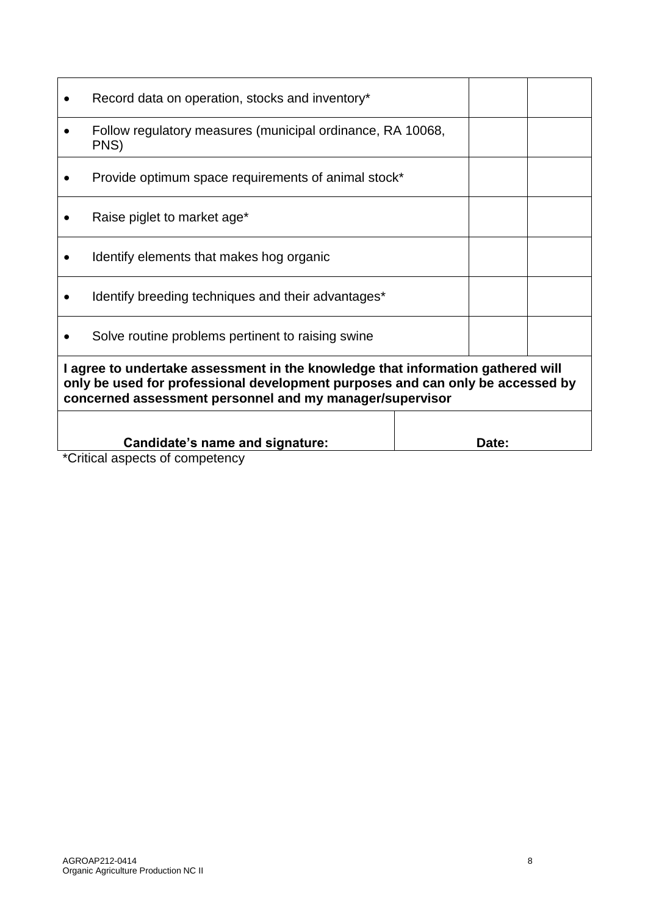|                                                                                                                                                                                                                               | Record data on operation, stocks and inventory*                    |       |  |  |  |  |  |
|-------------------------------------------------------------------------------------------------------------------------------------------------------------------------------------------------------------------------------|--------------------------------------------------------------------|-------|--|--|--|--|--|
|                                                                                                                                                                                                                               | Follow regulatory measures (municipal ordinance, RA 10068,<br>PNS) |       |  |  |  |  |  |
|                                                                                                                                                                                                                               | Provide optimum space requirements of animal stock*                |       |  |  |  |  |  |
|                                                                                                                                                                                                                               | Raise piglet to market age*                                        |       |  |  |  |  |  |
|                                                                                                                                                                                                                               | Identify elements that makes hog organic                           |       |  |  |  |  |  |
|                                                                                                                                                                                                                               | Identify breeding techniques and their advantages*                 |       |  |  |  |  |  |
|                                                                                                                                                                                                                               | Solve routine problems pertinent to raising swine                  |       |  |  |  |  |  |
| I agree to undertake assessment in the knowledge that information gathered will<br>only be used for professional development purposes and can only be accessed by<br>concerned assessment personnel and my manager/supervisor |                                                                    |       |  |  |  |  |  |
|                                                                                                                                                                                                                               | Candidate's name and signature:                                    | Date: |  |  |  |  |  |
|                                                                                                                                                                                                                               | *Critical aenacte of compatency                                    |       |  |  |  |  |  |

\*Critical aspects of competency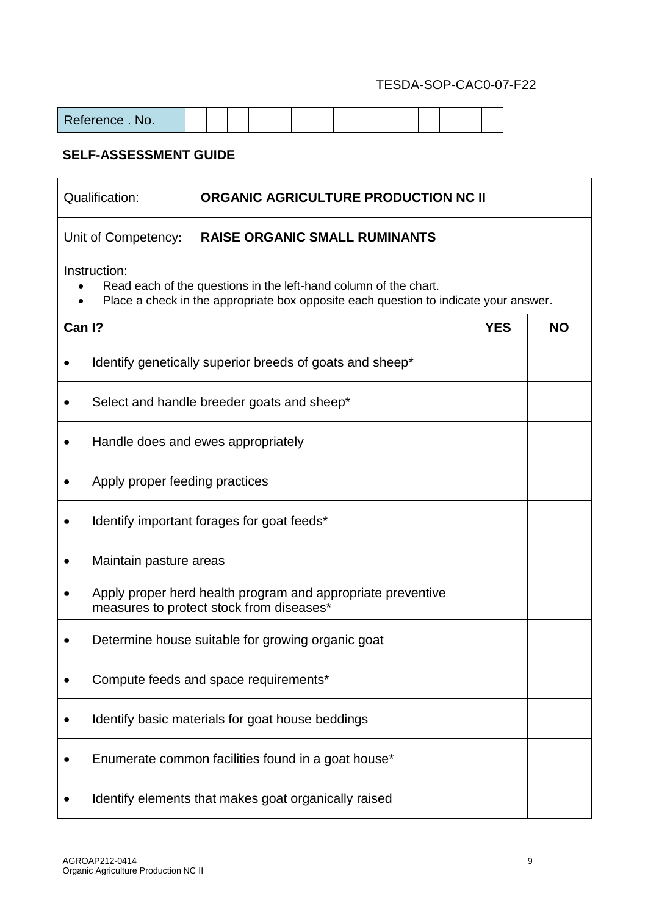| eference . No. |  |  |  |  |  |  |  |  |
|----------------|--|--|--|--|--|--|--|--|
|                |  |  |  |  |  |  |  |  |

| Qualification:                                                                                                                                                           |                                                                                                         | <b>ORGANIC AGRICULTURE PRODUCTION NC II</b>              |  |           |  |  |  |  |  |  |
|--------------------------------------------------------------------------------------------------------------------------------------------------------------------------|---------------------------------------------------------------------------------------------------------|----------------------------------------------------------|--|-----------|--|--|--|--|--|--|
|                                                                                                                                                                          | Unit of Competency:                                                                                     | <b>RAISE ORGANIC SMALL RUMINANTS</b>                     |  |           |  |  |  |  |  |  |
| Instruction:<br>Read each of the questions in the left-hand column of the chart.<br>Place a check in the appropriate box opposite each question to indicate your answer. |                                                                                                         |                                                          |  |           |  |  |  |  |  |  |
| Can I?                                                                                                                                                                   |                                                                                                         |                                                          |  | <b>NO</b> |  |  |  |  |  |  |
|                                                                                                                                                                          |                                                                                                         | Identify genetically superior breeds of goats and sheep* |  |           |  |  |  |  |  |  |
|                                                                                                                                                                          | Select and handle breeder goats and sheep*                                                              |                                                          |  |           |  |  |  |  |  |  |
|                                                                                                                                                                          |                                                                                                         | Handle does and ewes appropriately                       |  |           |  |  |  |  |  |  |
|                                                                                                                                                                          | Apply proper feeding practices                                                                          |                                                          |  |           |  |  |  |  |  |  |
|                                                                                                                                                                          | Identify important forages for goat feeds*                                                              |                                                          |  |           |  |  |  |  |  |  |
|                                                                                                                                                                          | Maintain pasture areas                                                                                  |                                                          |  |           |  |  |  |  |  |  |
|                                                                                                                                                                          | Apply proper herd health program and appropriate preventive<br>measures to protect stock from diseases* |                                                          |  |           |  |  |  |  |  |  |
|                                                                                                                                                                          | Determine house suitable for growing organic goat                                                       |                                                          |  |           |  |  |  |  |  |  |
|                                                                                                                                                                          |                                                                                                         | Compute feeds and space requirements*                    |  |           |  |  |  |  |  |  |
|                                                                                                                                                                          |                                                                                                         | Identify basic materials for goat house beddings         |  |           |  |  |  |  |  |  |
|                                                                                                                                                                          |                                                                                                         | Enumerate common facilities found in a goat house*       |  |           |  |  |  |  |  |  |
|                                                                                                                                                                          |                                                                                                         | Identify elements that makes goat organically raised     |  |           |  |  |  |  |  |  |